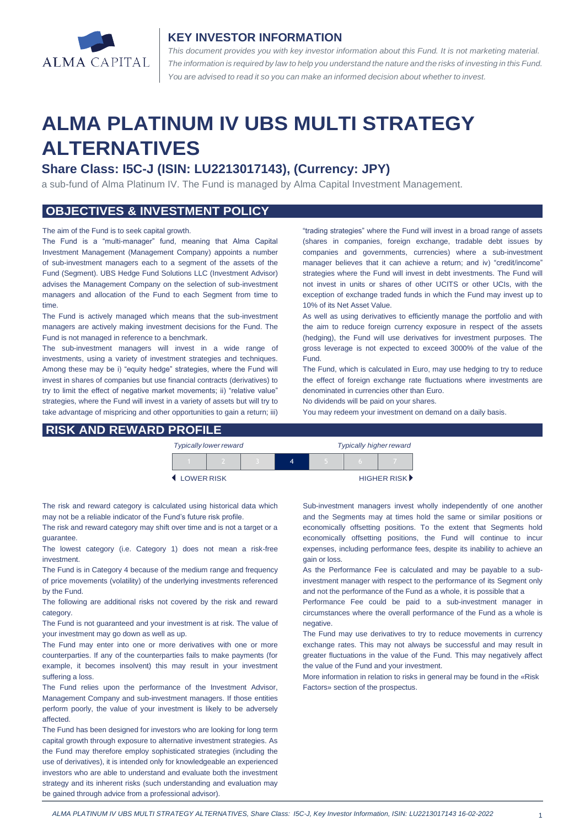

### **KEY INVESTOR INFORMATION**

*This document provides you with key investor information about this Fund. It is not marketing material.*  The information is required by law to help you understand the nature and the risks of investing in this Fund. *You are advised to read it so you can make an informed decision about whether to invest.*

# **ALMA PLATINUM IV UBS MULTI STRATEGY ALTERNATIVES**

## **Share Class: I5C-J (ISIN: LU2213017143), (Currency: JPY)**

a sub-fund of Alma Platinum IV. The Fund is managed by Alma Capital Investment Management.

## **OBJECTIVES & INVESTMENT POLICY**

#### The aim of the Fund is to seek capital growth.

The Fund is a "multi-manager" fund, meaning that Alma Capital Investment Management (Management Company) appoints a number of sub-investment managers each to a segment of the assets of the Fund (Segment). UBS Hedge Fund Solutions LLC (Investment Advisor) advises the Management Company on the selection of sub-investment managers and allocation of the Fund to each Segment from time to time.

The Fund is actively managed which means that the sub-investment managers are actively making investment decisions for the Fund. The Fund is not managed in reference to a benchmark.

The sub-investment managers will invest in a wide range of investments, using a variety of investment strategies and techniques. Among these may be i) "equity hedge" strategies, where the Fund will invest in shares of companies but use financial contracts (derivatives) to try to limit the effect of negative market movements; ii) "relative value" strategies, where the Fund will invest in a variety of assets but will try to take advantage of mispricing and other opportunities to gain a return; iii)

**RISK AND REWARD PROFILE**

"trading strategies" where the Fund will invest in a broad range of assets (shares in companies, foreign exchange, tradable debt issues by companies and governments, currencies) where a sub-investment manager believes that it can achieve a return; and iv) "credit/income" strategies where the Fund will invest in debt investments. The Fund will not invest in units or shares of other UCITS or other UCIs, with the exception of exchange traded funds in which the Fund may invest up to 10% of its Net Asset Value.

As well as using derivatives to efficiently manage the portfolio and with the aim to reduce foreign currency exposure in respect of the assets (hedging), the Fund will use derivatives for investment purposes. The gross leverage is not expected to exceed 3000% of the value of the Fund.

The Fund, which is calculated in Euro, may use hedging to try to reduce the effect of foreign exchange rate fluctuations where investments are denominated in currencies other than Euro.

No dividends will be paid on your shares.

You may redeem your investment on demand on a daily basis.

|            | <b>Typically lower reward</b> |  | <b>Typically higher reward</b> |  |  |             |
|------------|-------------------------------|--|--------------------------------|--|--|-------------|
|            |                               |  |                                |  |  |             |
| LOWER RISK |                               |  |                                |  |  | HIGHER RISK |

The risk and reward category is calculated using historical data which may not be a reliable indicator of the Fund's future risk profile.

The risk and reward category may shift over time and is not a target or a guarantee.

The lowest category (i.e. Category 1) does not mean a risk-free investment.

The Fund is in Category 4 because of the medium range and frequency of price movements (volatility) of the underlying investments referenced by the Fund.

The following are additional risks not covered by the risk and reward category.

The Fund is not guaranteed and your investment is at risk. The value of your investment may go down as well as up.

The Fund may enter into one or more derivatives with one or more counterparties. If any of the counterparties fails to make payments (for example, it becomes insolvent) this may result in your investment suffering a loss.

The Fund relies upon the performance of the Investment Advisor, Management Company and sub-investment managers. If those entities perform poorly, the value of your investment is likely to be adversely affected.

The Fund has been designed for investors who are looking for long term capital growth through exposure to alternative investment strategies. As the Fund may therefore employ sophisticated strategies (including the use of derivatives), it is intended only for knowledgeable an experienced investors who are able to understand and evaluate both the investment strategy and its inherent risks (such understanding and evaluation may be gained through advice from a professional advisor).

Sub-investment managers invest wholly independently of one another and the Segments may at times hold the same or similar positions or economically offsetting positions. To the extent that Segments hold economically offsetting positions, the Fund will continue to incur expenses, including performance fees, despite its inability to achieve an gain or loss.

As the Performance Fee is calculated and may be payable to a subinvestment manager with respect to the performance of its Segment only and not the performance of the Fund as a whole, it is possible that a

Performance Fee could be paid to a sub-investment manager in circumstances where the overall performance of the Fund as a whole is negative.

The Fund may use derivatives to try to reduce movements in currency exchange rates. This may not always be successful and may result in greater fluctuations in the value of the Fund. This may negatively affect the value of the Fund and your investment.

More information in relation to risks in general may be found in the «Risk Factors» section of the prospectus.